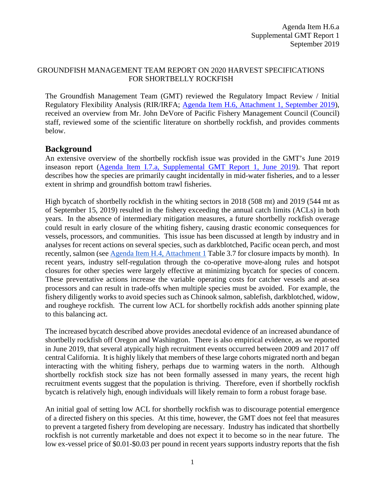## GROUNDFISH MANAGEMENT TEAM REPORT ON 2020 HARVEST SPECIFICATIONS FOR SHORTBELLY ROCKFISH

The Groundfish Management Team (GMT) reviewed the Regulatory Impact Review / Initial Regulatory Flexibility Analysis (RIR/IRFA; [Agenda Item H.6, Attachment 1, September 2019\)](https://www.pcouncil.org/wp-content/uploads/2019/08/H6_Att1_Cowcod-Shortbelly-RIR-IRFA_SEPT2019BB.pdf), received an overview from Mr. John DeVore of Pacific Fishery Management Council (Council) staff, reviewed some of the scientific literature on shortbelly rockfish, and provides comments below.

## **Background**

An extensive overview of the shortbelly rockfish issue was provided in the GMT's June 2019 inseason report [\(Agenda Item I.7.a, Supplemental GMT Report](https://www.pcouncil.org/wp-content/uploads/2019/06/I7a_Sup_GMT_Rpt1_REVISED_JUNE2019BB.pdf) 1, June 2019). That report describes how the species are primarily caught incidentally in mid-water fisheries, and to a lesser extent in shrimp and groundfish bottom trawl fisheries.

High bycatch of shortbelly rockfish in the whiting sectors in 2018 (508 mt) and 2019 (544 mt as of September 15, 2019) resulted in the fishery exceeding the annual catch limits (ACLs) in both years. In the absence of intermediary mitigation measures, a future shortbelly rockfish overage could result in early closure of the whiting fishery, causing drastic economic consequences for vessels, processors, and communities. This issue has been discussed at length by industry and in analyses for recent actions on several species, such as darkblotched, Pacific ocean perch, and most recently, salmon (see [Agenda Item H.4, Attachment 1](https://www.pcouncil.org/wp-content/uploads/2019/08/H4_Att1_ESA_Salmon_Mit_Meas_RIR_SEPT2019BB.pdf) Table 3.7 for closure impacts by month). In recent years, industry self-regulation through the co-operative move-along rules and hotspot closures for other species were largely effective at minimizing bycatch for species of concern. These preventative actions increase the variable operating costs for catcher vessels and at-sea processors and can result in trade-offs when multiple species must be avoided. For example, the fishery diligently works to avoid species such as Chinook salmon, sablefish, darkblotched, widow, and rougheye rockfish. The current low ACL for shortbelly rockfish adds another spinning plate to this balancing act.

The increased bycatch described above provides anecdotal evidence of an increased abundance of shortbelly rockfish off Oregon and Washington. There is also empirical evidence, as we reported in June 2019, that several atypically high recruitment events occurred between 2009 and 2017 off central California. It is highly likely that members of these large cohorts migrated north and began interacting with the whiting fishery, perhaps due to warming waters in the north. Although shortbelly rockfish stock size has not been formally assessed in many years, the recent high recruitment events suggest that the population is thriving. Therefore, even if shortbelly rockfish bycatch is relatively high, enough individuals will likely remain to form a robust forage base.

An initial goal of setting low ACL for shortbelly rockfish was to discourage potential emergence of a directed fishery on this species. At this time, however, the GMT does not feel that measures to prevent a targeted fishery from developing are necessary. Industry has indicated that shortbelly rockfish is not currently marketable and does not expect it to become so in the near future. The low ex-vessel price of \$0.01-\$0.03 per pound in recent years supports industry reports that the fish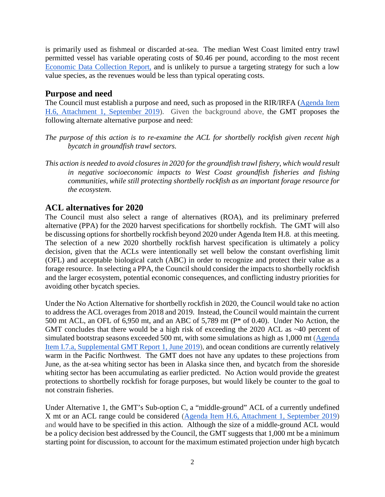is primarily used as fishmeal or discarded at-sea. The median West Coast limited entry trawl permitted vessel has variable operating costs of \$0.46 per pound, according to the most recent [Economic Data Collection Report,](https://www.nwfsc.noaa.gov/research/divisions/fram/documents/EDC_Catcher_Vessel_Report_May_2019.pdf) and is unlikely to pursue a targeting strategy for such a low value species, as the revenues would be less than typical operating costs.

## **Purpose and need**

The Council must establish a purpose and need, such as proposed in the RIR/IRFA (Agenda Item [H.6, Attachment 1, September](https://www.pcouncil.org/wp-content/uploads/2019/08/H6_Att1_Cowcod-Shortbelly-RIR-IRFA_SEPT2019BB.pdf) 2019). Given the background above, the GMT proposes the following alternate alternative purpose and need:

- *The purpose of this action is to re-examine the ACL for shortbelly rockfish given recent high bycatch in groundfish trawl sectors.*
- *This action is needed to avoid closures in 2020 for the groundfish trawl fishery, which would result in negative socioeconomic impacts to West Coast groundfish fisheries and fishing communities, while still protecting shortbelly rockfish as an important forage resource for the ecosystem.*

## **ACL alternatives for 2020**

The Council must also select a range of alternatives (ROA), and its preliminary preferred alternative (PPA) for the 2020 harvest specifications for shortbelly rockfish. The GMT will also be discussing options for shortbelly rockfish beyond 2020 under Agenda Item H.8. at this meeting. The selection of a new 2020 shortbelly rockfish harvest specification is ultimately a policy decision, given that the ACLs were intentionally set well below the constant overfishing limit (OFL) and acceptable biological catch (ABC) in order to recognize and protect their value as a forage resource. In selecting a PPA, the Council should consider the impacts to shortbelly rockfish and the larger ecosystem, potential economic consequences, and conflicting industry priorities for avoiding other bycatch species.

Under the No Action Alternative for shortbelly rockfish in 2020, the Council would take no action to address the ACL overages from 2018 and 2019. Instead, the Council would maintain the current 500 mt ACL, an OFL of 6,950 mt, and an ABC of 5,789 mt (P\* of 0.40). Under No Action, the GMT concludes that there would be a high risk of exceeding the 2020 ACL as ~40 percent of simulated bootstrap seasons exceeded 500 mt, with some simulations as high as 1,000 mt [\(Agenda](https://www.pcouncil.org/wp-content/uploads/2019/06/I7a_Sup_GMT_Rpt1_REVISED_JUNE2019BB.pdf)  [Item I.7.a, Supplemental GMT Report 1, June 2019\)](https://www.pcouncil.org/wp-content/uploads/2019/06/I7a_Sup_GMT_Rpt1_REVISED_JUNE2019BB.pdf), and ocean conditions are currently relatively warm in the Pacific Northwest. The GMT does not have any updates to these projections from June, as the at-sea whiting sector has been in Alaska since then, and bycatch from the shoreside whiting sector has been accumulating as earlier predicted. No Action would provide the greatest protections to shortbelly rockfish for forage purposes, but would likely be counter to the goal to not constrain fisheries.

Under Alternative 1, the GMT's Sub-option C, a "middle-ground" ACL of a currently undefined X mt or an ACL range could be considered [\(Agenda Item H.6, Attachment 1,](https://www.pcouncil.org/wp-content/uploads/2019/08/H6_Att1_Cowcod-Shortbelly-RIR-IRFA_SEPT2019BB.pdf) September 2019) and would have to be specified in this action. Although the size of a middle-ground ACL would be a policy decision best addressed by the Council, the GMT suggests that 1,000 mt be a minimum starting point for discussion, to account for the maximum estimated projection under high bycatch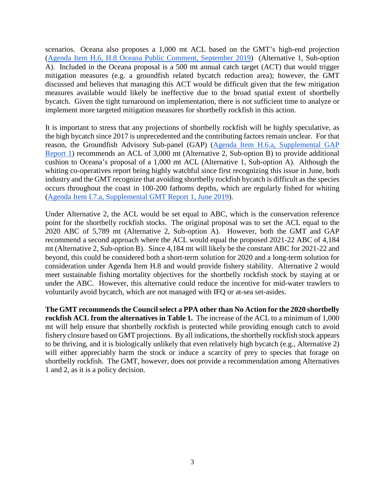scenarios. Oceana also proposes a 1,000 mt ACL based on the GMT's high-end projection [\(Agenda Item H.6, H.8 Oceana Public Comment, September 2019\)](https://pfmc.psmfc.org/CommentReview/DownloadFile?p=b8eaf56d-2939-428b-a818-5c60b53fbfa1.pdf&fileName=H6_H8%20Shortbelly_Oceana%209%204%2019.pdf) (Alternative 1, Sub-option A). Included in the Oceana proposal is a 500 mt annual catch target (ACT) that would trigger mitigation measures (e.g. a groundfish related bycatch reduction area); however, the GMT discussed and believes that managing this ACT would be difficult given that the few mitigation measures available would likely be ineffective due to the broad spatial extent of shortbelly bycatch. Given the tight turnaround on implementation, there is not sufficient time to analyze or implement more targeted mitigation measures for shortbelly rockfish in this action.

It is important to stress that any projections of shortbelly rockfish will be highly speculative, as the high bycatch since 2017 is unprecedented and the contributing factors remain unclear. For that reason, the Groundfish Advisory Sub-panel (GAP) [\(Agenda Item H.6.a, Supplemental GAP](https://www.pcouncil.org/wp-content/uploads/2019/09/H6a_Sup_GAP_Rpt1_SEPT2019BB.pdf)  [Report 1\)](https://www.pcouncil.org/wp-content/uploads/2019/09/H6a_Sup_GAP_Rpt1_SEPT2019BB.pdf) recommends an ACL of 3,000 mt (Alternative 2, Sub-option B) to provide additional cushion to Oceana's proposal of a 1,000 mt ACL (Alternative 1, Sub-option A). Although the whiting co-operatives report being highly watchful since first recognizing this issue in June, both industry and the GMT recognize that avoiding shortbelly rockfish bycatch is difficult as the species occurs throughout the coast in 100-200 fathoms depths, which are regularly fished for whiting [\(Agenda Item I.7.a, Supplemental GMT Report 1, June 2019\)](https://www.pcouncil.org/wp-content/uploads/2019/06/I7a_Sup_GMT_Rpt1_REVISED_JUNE2019BB.pdf).

Under Alternative 2, the ACL would be set equal to ABC, which is the conservation reference point for the shortbelly rockfish stocks. The original proposal was to set the ACL equal to the 2020 ABC of 5,789 mt (Alternative 2, Sub-option A). However, both the GMT and GAP recommend a second approach where the ACL would equal the proposed 2021-22 ABC of 4,184 mt (Alternative 2, Sub-option B). Since 4,184 mt will likely be the constant ABC for 2021-22 and beyond, this could be considered both a short-term solution for 2020 and a long-term solution for consideration under Agenda Item H.8 and would provide fishery stability. Alternative 2 would meet sustainable fishing mortality objectives for the shortbelly rockfish stock by staying at or under the ABC. However, this alternative could reduce the incentive for mid-water trawlers to voluntarily avoid bycatch, which are not managed with IFQ or at-sea set-asides.

**The GMT recommends the Council select a PPA other than No Action for the 2020 shortbelly rockfish ACL from the alternatives in Table 1.** The increase of the ACL to a minimum of 1,000 mt will help ensure that shortbelly rockfish is protected while providing enough catch to avoid fishery closure based on GMT projections. By all indications, the shortbelly rockfish stock appears to be thriving, and it is biologically unlikely that even relatively high bycatch (e.g., Alternative 2) will either appreciably harm the stock or induce a scarcity of prey to species that forage on shortbelly rockfish. The GMT, however, does not provide a recommendation among Alternatives 1 and 2, as it is a policy decision.